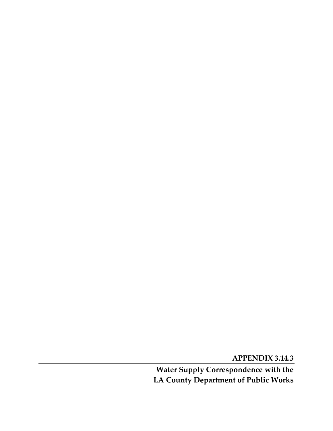**APPENDIX 3.14.3** 

**Water Supply Correspondence with the LA County Department of Public Works**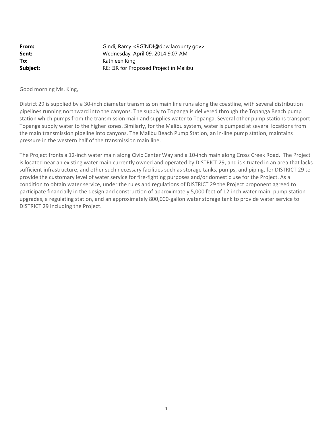| From:    | Gindi, Ramy <rgindi@dpw.lacounty.gov></rgindi@dpw.lacounty.gov> |
|----------|-----------------------------------------------------------------|
| Sent:    | Wednesday, April 09, 2014 9:07 AM                               |
| To:      | Kathleen King                                                   |
| Subject: | RE: EIR for Proposed Project in Malibu                          |

Good morning Ms. King,

District 29 is supplied by a 30-inch diameter transmission main line runs along the coastline, with several distribution pipelines running northward into the canyons. The supply to Topanga is delivered through the Topanga Beach pump station which pumps from the transmission main and supplies water to Topanga. Several other pump stations transport Topanga supply water to the higher zones. Similarly, for the Malibu system, water is pumped at several locations from the main transmission pipeline into canyons. The Malibu Beach Pump Station, an in-line pump station, maintains pressure in the western half of the transmission main line.

The Project fronts a 12-inch water main along Civic Center Way and a 10-inch main along Cross Creek Road. The Project is located near an existing water main currently owned and operated by DISTRICT 29, and is situated in an area that lacks sufficient infrastructure, and other such necessary facilities such as storage tanks, pumps, and piping, for DISTRICT 29 to provide the customary level of water service for fire-fighting purposes and/or domestic use for the Project. As a condition to obtain water service, under the rules and regulations of DISTRICT 29 the Project proponent agreed to participate financially in the design and construction of approximately 5,000 feet of 12-inch water main, pump station upgrades, a regulating station, and an approximately 800,000-gallon water storage tank to provide water service to DISTRICT 29 including the Project.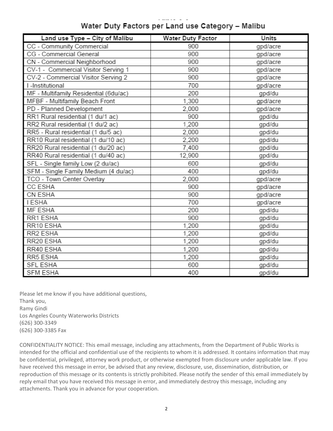# Water Duty Factors per Land use Category - Malibu

| Land use Type - City of Malibu        | Water Duty Factor | <b>Units</b> |
|---------------------------------------|-------------------|--------------|
| CC - Community Commercial             | 900               | gpd/acre     |
| CG - Commercial General               | 900               | gpd/acre     |
| CN - Commercial Neighborhood          | 900               | gpd/acre     |
| CV-1 - Commercial Visitor Serving 1   | 900               | gpd/acre     |
| CV-2 - Commercial Visitor Serving 2   | 900               | gpd/acre     |
| I -Institutional                      | 700               | gpd/acre     |
| MF - Multifamily Residential (6du/ac) | 200               | gpd/du       |
| MFBF - Multifamily Beach Front        | 1,300             | gpd/acre     |
| PD - Planned Development              | 2,000             | gpd/acre     |
| RR1 Rural residential (1 du/1 ac)     | 900               | gpd/du       |
| RR2 Rural residential (1 du/2 ac)     | 1,200             | gpd/du       |
| RR5 - Rural residential (1 du/5 ac)   | 2.000             | gpd/du       |
| RR10 Rural residential (1 du/10 ac)   | 2.200             | gpd/du       |
| RR20 Rural residential (1 du/20 ac)   | 7,400             | gpd/du       |
| RR40 Rural residential (1 du/40 ac)   | 12,900            | gpd/du       |
| SFL - Single family Low (2 du/ac)     | 600               | gpd/du       |
| SFM - Single Family Medium (4 du/ac)  | 400               | gpd/du       |
| TCO - Town Center Overlay             | 2,000             | gpd/acre     |
| CC ESHA                               | 900               | gpd/acre     |
| CN ESHA                               | 900               | gpd/acre     |
| <b>I ESHA</b>                         | 700               | gpd/acre     |
| MF ESHA                               | 200               | gpd/du       |
| RR1 ESHA                              | 900               | gpd/du       |
| RR10 ESHA                             | 1,200             | gpd/du       |
| RR2 ESHA                              | 1,200             | gpd/du       |
| RR20 ESHA                             | 1,200             | gpd/du       |
| RR40 ESHA                             | 1,200             | gpd/du       |
| RR5 ESHA                              | 1,200             | gpd/du       |
| SFL ESHA                              | 600               | gpd/du       |
| <b>SFM ESHA</b>                       | 400               | gpd/du       |

Please let me know if you have additional questions, Thank you, Ramy Gindi Los Angeles County Waterworks Districts (626) 300-3349 (626) 300-3385 Fax

CONFIDENTIALITY NOTICE: This email message, including any attachments, from the Department of Public Works is intended for the official and confidential use of the recipients to whom it is addressed. It contains information that may be confidential, privileged, attorney work product, or otherwise exempted from disclosure under applicable law. If you have received this message in error, be advised that any review, disclosure, use, dissemination, distribution, or reproduction of this message or its contents is strictly prohibited. Please notify the sender of this email immediately by reply email that you have received this message in error, and immediately destroy this message, including any attachments. Thank you in advance for your cooperation.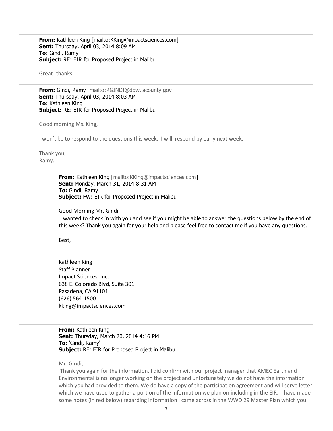**From:** Kathleen King [mailto:KKing@impactsciences.com] **Sent:** Thursday, April 03, 2014 8:09 AM **To:** Gindi, Ramy **Subject:** RE: EIR for Proposed Project in Malibu

Great- thanks.

**From:** Gindi, Ramy [mailto:RGINDI@dpw.lacounty.gov] **Sent:** Thursday, April 03, 2014 8:03 AM **To:** Kathleen King **Subject:** RE: EIR for Proposed Project in Malibu

Good morning Ms. King,

I won't be to respond to the questions this week. I will respond by early next week.

Thank you, Ramy.

> **From:** Kathleen King [mailto:KKing@impactsciences.com] **Sent:** Monday, March 31, 2014 8:31 AM **To:** Gindi, Ramy **Subject:** FW: EIR for Proposed Project in Malibu

Good Morning Mr. Gindi-

I wanted to check in with you and see if you might be able to answer the questions below by the end of this week? Thank you again for your help and please feel free to contact me if you have any questions.

Best,

Kathleen King Staff Planner Impact Sciences, Inc. 638 E. Colorado Blvd, Suite 301 Pasadena, CA 91101 (626) 564-1500 kking@impactsciences.com

**From:** Kathleen King **Sent:** Thursday, March 20, 2014 4:16 PM **To:** 'Gindi, Ramy' **Subject:** RE: EIR for Proposed Project in Malibu

Mr. Gindi,

Thank you again for the information. I did confirm with our project manager that AMEC Earth and Environmental is no longer working on the project and unfortunately we do not have the information which you had provided to them. We do have a copy of the participation agreement and will serve letter which we have used to gather a portion of the information we plan on including in the EIR. I have made some notes (in red below) regarding information I came across in the WWD 29 Master Plan which you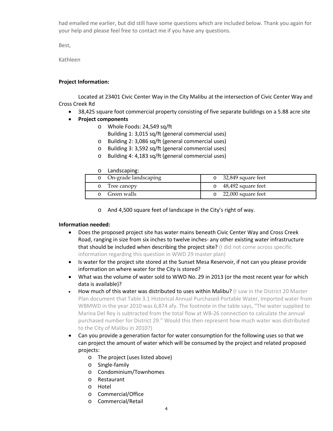had emailed me earlier, but did still have some questions which are included below. Thank you again for your help and please feel free to contact me if you have any questions.

Best,

Kathleen

## **Project Information:**

Located at 23401 Civic Center Way in the City Malibu at the intersection of Civic Center Way and Cross Creek Rd

- 38,425 square foot commercial property consisting of five separate buildings on a 5.88 acre site
- **Project components**
	- o Whole Foods: 24,549 sq/ft
		- Building 1: 3,015 sq/ft (general commercial uses)
	- o Building 2: 3,086 sq/ft (general commercial uses)
	- o Building 3: 3,592 sq/ft (general commercial uses)
	- o Building 4: 4,183 sq/ft (general commercial uses)

#### o Landscaping:

| o On-grade landscaping | $\circ$ 32,849 square feet |
|------------------------|----------------------------|
| o Tree canopy          | $\circ$ 48,492 square feet |
| Green walls            | $\circ$ 22,000 square feet |

o And 4,500 square feet of landscape in the City's right of way.

## **Information needed:**

- Does the proposed project site has water mains beneath Civic Center Way and Cross Creek Road, ranging in size from six inches to twelve inches- any other existing water infrastructure that should be included when describing the project site? (I did not come across specific information regarding this question in WWD 29 master plan)
- Is water for the project site stored at the Sunset Mesa Reservoir, if not can you please provide information on where water for the City is stored?
- What was the volume of water sold to WWD No. 29 in 2013 (or the most recent year for which data is available)?
- How much of this water was distributed to uses within Malibu? (I saw in the District 20 Master Plan document that Table 3.1 Historical Annual Purchased Portable Water, Imported water from WBMWD in the year 2010 was 6,874 afy. The footnote in the table says, "The water supplied to Marina Del Rey is subtracted from the total flow at WB-26 connection to calculate the annual purchased number for District 29." Would this then represent how much water was distributed to the City of Malibu in 2010?)
- Can you provide a generation factor for water consumption for the following uses so that we can project the amount of water which will be consumed by the project and related proposed projects:
	- o The project (uses listed above)
	- o Single-family
	- o Condominium/Townhomes
	- o Restaurant
	- o Hotel
	- o Commercial/Office
	- o Commercial/Retail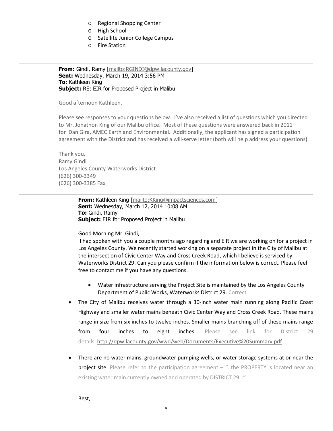- o Regional Shopping Center
- o High School
- o Satellite Junior College Campus
- o Fire Station

**From:** Gindi, Ramy [mailto:RGINDI@dpw.lacounty.gov] **Sent:** Wednesday, March 19, 2014 3:56 PM **To:** Kathleen King **Subject:** RE: EIR for Proposed Project in Malibu

Good afternoon Kathleen,

Please see responses to your questions below. I've also received a list of questions which you directed to Mr. Jonathon King of our Malibu office. Most of these questions were answered back in 2011 for Dan Gira, AMEC Earth and Environmental. Additionally, the applicant has signed a participation agreement with the District and has received a will-serve letter (both will help address your questions).

Thank you, Ramy Gindi Los Angeles County Waterworks District (626) 300-3349 (626) 300-3385 Fax

> **From:** Kathleen King [mailto:KKing@impactsciences.com] **Sent:** Wednesday, March 12, 2014 10:08 AM **To:** Gindi, Ramy **Subject:** EIR for Proposed Project in Malibu

#### Good Morning Mr. Gindi,

I had spoken with you a couple months ago regarding and EIR we are working on for a project in Los Angeles County. We recently started working on a separate project in the City of Malibu at the intersection of Civic Center Way and Cross Creek Road, which I believe is serviced by Waterworks District 29. Can you please confirm if the information below is correct. Please feel free to contact me if you have any questions.

- Water infrastructure serving the Project Site is maintained by the Los Angeles County Department of Public Works, Waterworks District 29. Correct
- The City of Malibu receives water through a 30-inch water main running along Pacific Coast Highway and smaller water mains beneath Civic Center Way and Cross Creek Road. These mains range in size from six inches to twelve inches. Smaller mains branching off of these mains range from four inches to eight inches. Please see link for District 29 details http://dpw.lacounty.gov/wwd/web/Documents/Executive%20Summary.pdf
- There are no water mains, groundwater pumping wells, or water storage systems at or near the project site. Please refer to the participation agreement – "..the PROPERTY is located near an existing water main currently owned and operated by DISTRICT 29…"